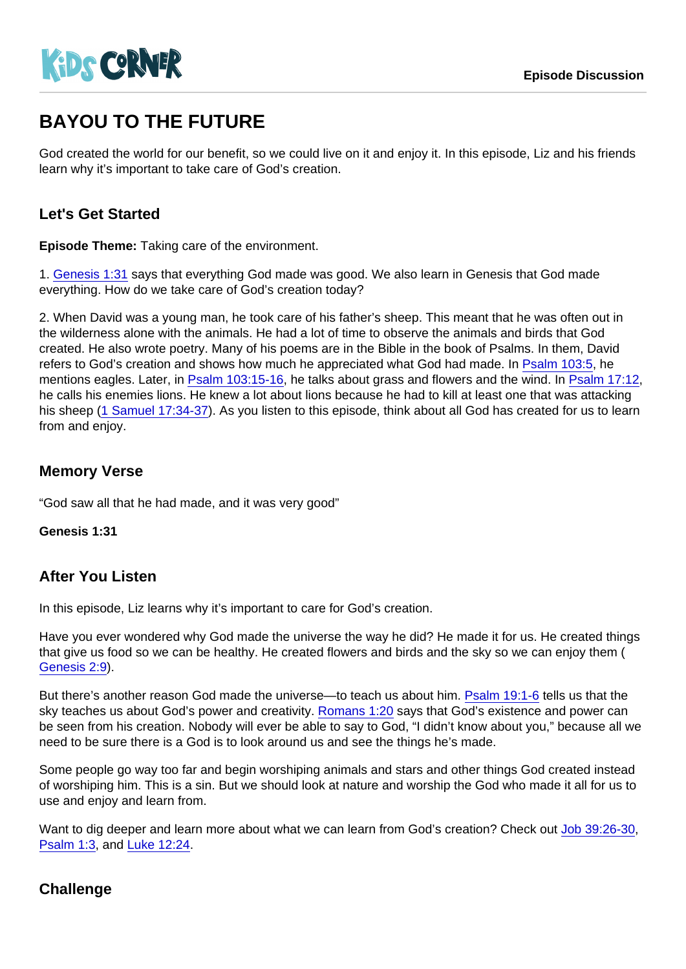# BAYOU TO THE FUTURE

God created the world for our benefit, so we could live on it and enjoy it. In this episode, Liz and his friends learn why it's important to take care of God's creation.

## Let's Get Started

Episode Theme: Taking care of the environment.

1. [Genesis 1:31](https://www.biblegateway.com/passage/?search=Genesis+1:31) says that everything God made was good. We also learn in Genesis that God made everything. How do we take care of God's creation today?

2. When David was a young man, he took care of his father's sheep. This meant that he was often out in the wilderness alone with the animals. He had a lot of time to observe the animals and birds that God created. He also wrote poetry. Many of his poems are in the Bible in the book of Psalms. In them, David refers to God's creation and shows how much he appreciated what God had made. In [Psalm 103:5,](https://www.biblegateway.com/passage/?search=Psalm+103:5) he mentions eagles. Later, in [Psalm 103:15-16](https://www.biblegateway.com/passage/?search=Psalm+103:15-16), he talks about grass and flowers and the wind. In [Psalm 17:12,](https://www.biblegateway.com/passage/?search=Psalm+17:12) he calls his enemies lions. He knew a lot about lions because he had to kill at least one that was attacking his sheep ([1 Samuel 17:34-37\)](https://www.biblegateway.com/passage/?search=1+Samuel+17:34-37). As you listen to this episode, think about all God has created for us to learn from and enjoy.

## Memory Verse

"God saw all that he had made, and it was very good"

Genesis 1:31

#### After You Listen

In this episode, Liz learns why it's important to care for God's creation.

Have you ever wondered why God made the universe the way he did? He made it for us. He created things that give us food so we can be healthy. He created flowers and birds and the sky so we can enjoy them ( [Genesis 2:9\)](https://www.biblegateway.com/passage/?search=Genesis+2:9).

But there's another reason God made the universe—to teach us about him. [Psalm 19:1-6](https://www.biblegateway.com/passage/?search=Psalm+19:1-6) tells us that the sky teaches us about God's power and creativity. [Romans 1:20](https://www.biblegateway.com/passage/?search=Romans+1:20) says that God's existence and power can be seen from his creation. Nobody will ever be able to say to God, "I didn't know about you," because all we need to be sure there is a God is to look around us and see the things he's made.

Some people go way too far and begin worshiping animals and stars and other things God created instead of worshiping him. This is a sin. But we should look at nature and worship the God who made it all for us to use and enjoy and learn from.

Want to dig deeper and learn more about what we can learn from God's creation? Check out [Job 39:26-30](https://www.biblegateway.com/passage/?search=Job+39:26-30), [Psalm 1:3,](https://www.biblegateway.com/passage/?search=Psalm+1:3) and [Luke 12:24.](https://www.biblegateway.com/passage/?search=Luke+12:24)

## **Challenge**